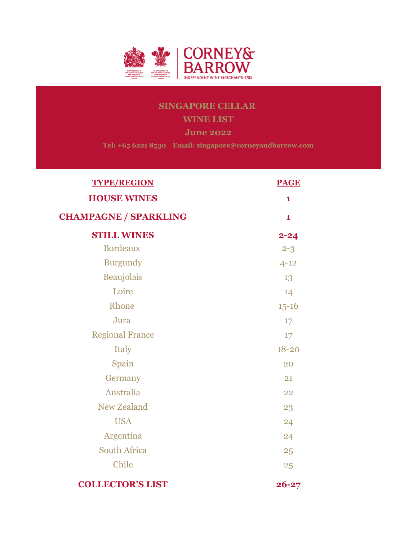

# SINGAPORE CELLAR WINE LIST June 2022

Tel: +65 6221 8530 Email: singapore@corneyandbarrow.com

| <b>TYPE/REGION</b>           | <b>PAGE</b>  |
|------------------------------|--------------|
| <b>HOUSE WINES</b>           | 1            |
| <b>CHAMPAGNE / SPARKLING</b> | $\mathbf{1}$ |
| <b>STILL WINES</b>           | $2 - 24$     |
| <b>Bordeaux</b>              | $2 - 3$      |
| <b>Burgundy</b>              | $4 - 12$     |
| Beaujolais                   | 13           |
| Loire                        | 14           |
| Rhone                        | $15 - 16$    |
| Jura                         | 17           |
| <b>Regional France</b>       | 17           |
| Italy                        | $18 - 20$    |
| Spain                        | 20           |
| Germany                      | 21           |
| Australia                    | 22           |
| <b>New Zealand</b>           | 23           |
| <b>USA</b>                   | 24           |
| Argentina                    | 24           |
| <b>South Africa</b>          | 25           |
| Chile                        | 25           |
| <b>COLLECTOR'S LIST</b>      | $26 - 27$    |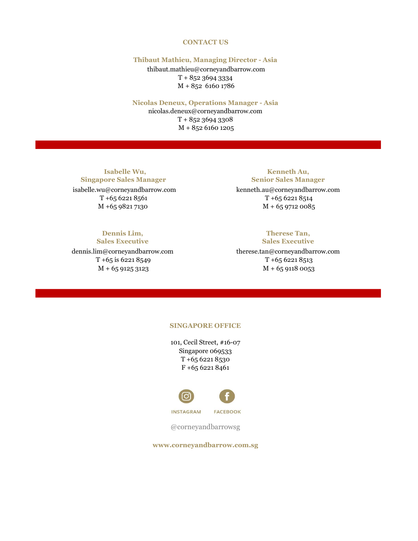## CONTACT US

## Thibaut Mathieu, Managing Director - Asia

 thibaut.mathieu@corneyandbarrow.com T + 852 3694 3334 M + 852 6160 1786

## Nicolas Deneux, Operations Manager - Asia

nicolas.deneux@corneyandbarrow.com  $T + 85236943308$ M + 852 6160 1205

 Isabelle Wu, Singapore Sales Manager

 $T + 6562218561$   $T + 6562218514$ 

## Dennis Lim, Sales Executive

dennis.lim@corneyandbarrow.com therese.tan@corneyandbarrow.com  $T + 65$  is 6221 8549 T + 65 6221 8513

Kenneth Au, Senior Sales Manager

 isabelle.wu@corneyandbarrow.com kenneth.au@corneyandbarrow.com M + 65 9821 7130 M + 65 9712 0085

## Therese Tan, Sales Executive

 $M + 6591253123$   $M + 6591180053$ 

## SINGAPORE OFFICE

T +65 6221 8530 F +65 6221 8461 101, Cecil Street, #16-07 Singapore 069533



**INSTAGRAM FACEBOOK** 

@corneyandbarrowsg

www.corneyandbarrow.com.sg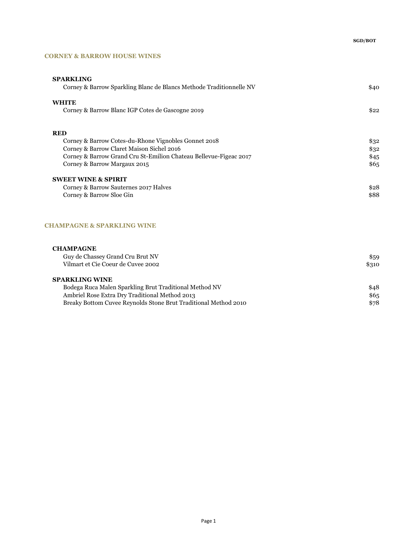## CORNEY & BARROW HOUSE WINES

| <b>SPARKLING</b><br>Corney & Barrow Sparkling Blanc de Blancs Methode Traditionnelle NV | \$40 |
|-----------------------------------------------------------------------------------------|------|
| <b>WHITE</b><br>Corney & Barrow Blanc IGP Cotes de Gascogne 2019                        | \$22 |
|                                                                                         |      |
| <b>RED</b>                                                                              |      |
| Corney & Barrow Cotes-du-Rhone Vignobles Gonnet 2018                                    | \$32 |
| Corney & Barrow Claret Maison Sichel 2016                                               | \$32 |
| Corney & Barrow Grand Cru St-Emilion Chateau Bellevue-Figeac 2017                       | \$45 |
| Corney & Barrow Margaux 2015                                                            | \$65 |
| <b>SWEET WINE &amp; SPIRIT</b>                                                          |      |
| Corney & Barrow Sauternes 2017 Halves                                                   | \$28 |
| Corney & Barrow Sloe Gin                                                                | \$88 |
|                                                                                         |      |
|                                                                                         |      |

## CHAMPAGNE & SPARKLING WINE

| <b>CHAMPAGNE</b><br>Guy de Chassey Grand Cru Brut NV<br>Vilmart et Cie Coeur de Cuvee 2002 | \$59<br>\$310 |
|--------------------------------------------------------------------------------------------|---------------|
| <b>SPARKLING WINE</b>                                                                      |               |
| Bodega Ruca Malen Sparkling Brut Traditional Method NV                                     | \$48          |
| Ambriel Rose Extra Dry Traditional Method 2013                                             | \$65          |
| Breaky Bottom Cuvee Reynolds Stone Brut Traditional Method 2010                            | \$78          |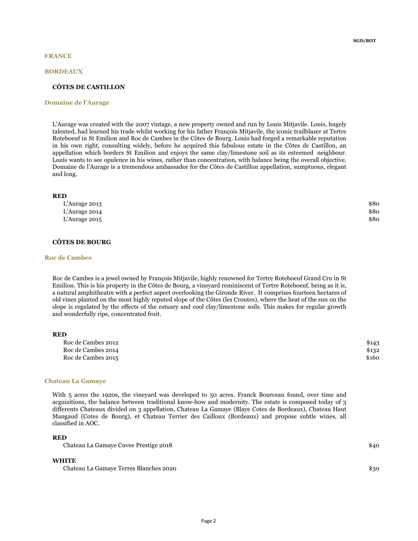#### BORDEAUX

### CÔTES DE CASTILLON

#### Domaine de l'Aurage

L'Aurage was created with the 2007 vintage, a new property owned and run by Louis Mitjavile. Louis, hugely talented, had learned his trade whilst working for his father François Mitjavile, the iconic trailblazer at Tertre Roteboeuf in St Emilion and Roc de Cambes in the Côtes de Bourg. Louis had forged a remarkable reputation in his own right, consulting widely, before he acquired this fabulous estate in the Côtes de Castillon, an appellation which borders St Emilion and enjoys the same clay/limestone soil as its esteemed neighbour. Louis wants to see opulence in his wines, rather than concentration, with balance being the overall objective. Domaine de l'Aurage is a tremendous ambassador for the Côtes de Castillon appellation, sumptuous, elegant and long.

### RED

| L'Aurage 2013 | \$80 |
|---------------|------|
| L'Aurage 2014 | \$80 |
| L'Aurage 2015 | \$80 |

## CÔTES DE BOURG

#### Roc de Cambes

Roc de Cambes is a jewel owned by François Mitjavile, highly renowned for Tertre Roteboeuf Grand Cru in St Emilion. This is his property in the Côtes de Bourg, a vineyard reminiscent of Tertre Roteboeuf, being as it is, a natural amphitheatre with a perfect aspect overlooking the Gironde River. It comprises fourteen hectares of old vines planted on the most highly reputed slope of the Côtes (les Croutes), where the heat of the sun on the slope is regulated by the effects of the estuary and cool clay/limestone soils. This makes for regular growth and wonderfully ripe, concentrated fruit.

| Roc de Cambes 2012 | \$143 |
|--------------------|-------|
| Roc de Cambes 2014 | \$132 |
| Roc de Cambes 2015 | \$160 |

#### Chateau La Gamaye

With 5 acres the 1920s, the vineyard was developed to 50 acres. Franck Bourceau found, over time and acguisitions, the balance between traditional know-how and modernity. The estate is composed today of 3 differents Chateaux divided on 3 appellation, Chateau La Gamaye (Blaye Cotes de Bordeaux), Chateau Haut Mangaud (Cotes de Bourg), et Chateau Terrier des Cailloux (Bordeaux) and propose subtle wines, all classified in AOC.

## RED

Chateau La Gamaye Cuvee Prestige 2018 \$40

#### WHITE

Chateau La Gamaye Terres Blanches 2020 \$30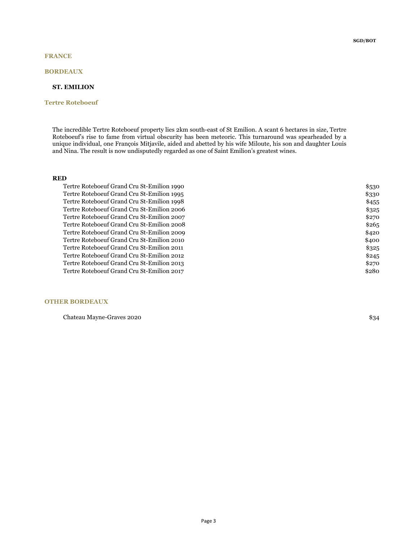## FRANCE

## BORDEAUX

## ST. EMILION

## Tertre Roteboeuf

The incredible Tertre Roteboeuf property lies 2km south-east of St Emilion. A scant 6 hectares in size, Tertre Roteboeuf's rise to fame from virtual obscurity has been meteoric. This turnaround was spearheaded by a unique individual, one François Mitjavile, aided and abetted by his wife Miloute, his son and daughter Louis and Nina. The result is now undisputedly regarded as one of Saint Emilion's greatest wines.

## RED

| Tertre Roteboeuf Grand Cru St-Emilion 1990 | \$530 |
|--------------------------------------------|-------|
| Tertre Roteboeuf Grand Cru St-Emilion 1995 | \$330 |
| Tertre Roteboeuf Grand Cru St-Emilion 1998 | \$455 |
| Tertre Roteboeuf Grand Cru St-Emilion 2006 | \$325 |
| Tertre Roteboeuf Grand Cru St-Emilion 2007 | \$270 |
| Tertre Roteboeuf Grand Cru St-Emilion 2008 | \$265 |
| Tertre Roteboeuf Grand Cru St-Emilion 2009 | \$420 |
| Tertre Roteboeuf Grand Cru St-Emilion 2010 | \$400 |
| Tertre Roteboeuf Grand Cru St-Emilion 2011 | \$325 |
| Tertre Roteboeuf Grand Cru St-Emilion 2012 | \$245 |
| Tertre Roteboeuf Grand Cru St-Emilion 2013 | \$270 |
| Tertre Roteboeuf Grand Cru St-Emilion 2017 | \$280 |
|                                            |       |

## OTHER BORDEAUX

Chateau Mayne-Graves 2020 **\$34**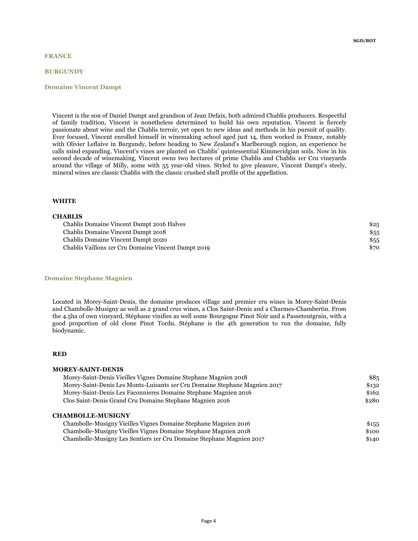### **BURGUNDY**

#### Domaine Vincent Dampt

SGD/BOT

Vincent is the son of Daniel Dampt and grandson of Jean Defaix, both admired Chablis producers. Respectful of family tradition, Vincent is nonetheless determined to build his own reputation. Vincent is fiercely passionate about wine and the Chablis terroir, yet open to new ideas and methods in his pursuit of quality. Ever focused, Vincent enrolled himself in winemaking school aged just 14, then worked in France, notably with Olivier Leflaive in Burgundy, before heading to New Zealand's Marlborough region, an experience he calls mind expanding. Vincent's vines are planted on Chablis' quintessential Kimmeridgian soils. Now in his second decade of winemaking, Vincent owns two hectares of prime Chablis and Chablis 1er Cru vineyards around the village of Milly, some with 55 year-old vines. Styled to give pleasure, Vincent Dampt's steely, mineral wines are classic Chablis with the classic crushed shell profile of the appellation.

### WHITE

**CHABLIS** 

## Chablis Domaine Vincent Dampt 2016 Halves \$25 Chablis Domaine Vincent Dampt 2018 \$55 Chablis Domaine Vincent Dampt 2020 \$55 Chablis Vaillons 1er Cru Domaine Vincent Dampt 2019 \$70

### Domaine Stephane Magnien

Located in Morey-Saint-Denis, the domaine produces village and premier cru wines in Morey-Saint-Denis and Chambolle-Musigny as well as 2 grand crus wines, a Clos Saint-Denis and a Charmes-Chambertin. From the 4.5ha of own vineyard, Stéphane vinifies as well some Bourgogne Pinot Noir and a Passetoutgrain, with a good proportion of old clone Pinot Tordu. Stéphane is the 4th generation to run the domaine, fully biodynamic.

### RED

| <b>MOREY-SAINT-DENIS</b>                                                   |       |
|----------------------------------------------------------------------------|-------|
| Morey-Saint-Denis Vieilles Vignes Domaine Stephane Magnien 2018            | \$85  |
| Morey-Saint-Denis Les Monts-Luisants 1er Cru Domaine Stephane Magnien 2017 | \$132 |
| Morey-Saint-Denis Les Faconnieres Domaine Stephane Magnien 2016            | \$162 |
| Clos Saint-Denis Grand Cru Domaine Stephane Magnien 2016                   | \$280 |
| <b>CHAMBOLLE-MUSIGNY</b>                                                   |       |
| Chambolle-Musigny Vieilles Vignes Domaine Stephane Magnien 2016            | \$155 |
| Chambolle-Musigny Vieilles Vignes Domaine Stephane Magnien 2018            | \$100 |
| Chambolle-Musigny Les Sentiers 1 er Cru Domaine Stephane Magnien 2017      | \$140 |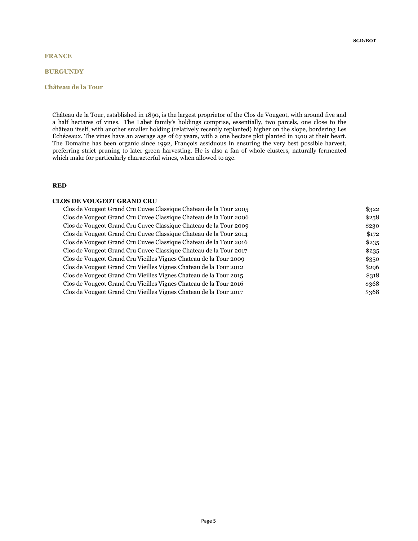## **BURGUNDY**

## Château de la Tour

Château de la Tour, established in 1890, is the largest proprietor of the Clos de Vougeot, with around five and a half hectares of vines. The Labet family's holdings comprise, essentially, two parcels, one close to the château itself, with another smaller holding (relatively recently replanted) higher on the slope, bordering Les Échézeaux. The vines have an average age of 67 years, with a one hectare plot planted in 1910 at their heart. The Domaine has been organic since 1992, François assiduous in ensuring the very best possible harvest, preferring strict pruning to later green harvesting. He is also a fan of whole clusters, naturally fermented which make for particularly characterful wines, when allowed to age.

### RED

#### CLOS DE VOUGEOT GRAND CRU

| Clos de Vougeot Grand Cru Cuvee Classique Chateau de la Tour 2005 | \$322 |
|-------------------------------------------------------------------|-------|
| Clos de Vougeot Grand Cru Cuvee Classique Chateau de la Tour 2006 | \$258 |
| Clos de Vougeot Grand Cru Cuvee Classique Chateau de la Tour 2009 | \$230 |
| Clos de Vougeot Grand Cru Cuvee Classique Chateau de la Tour 2014 | \$172 |
| Clos de Vougeot Grand Cru Cuvee Classique Chateau de la Tour 2016 | \$235 |
| Clos de Vougeot Grand Cru Cuvee Classique Chateau de la Tour 2017 | \$235 |
| Clos de Vougeot Grand Cru Vieilles Vignes Chateau de la Tour 2009 | \$350 |
| Clos de Vougeot Grand Cru Vieilles Vignes Chateau de la Tour 2012 | \$296 |
| Clos de Vougeot Grand Cru Vieilles Vignes Chateau de la Tour 2015 | \$318 |
| Clos de Vougeot Grand Cru Vieilles Vignes Chateau de la Tour 2016 | \$368 |
| Clos de Vougeot Grand Cru Vieilles Vignes Chateau de la Tour 2017 | \$368 |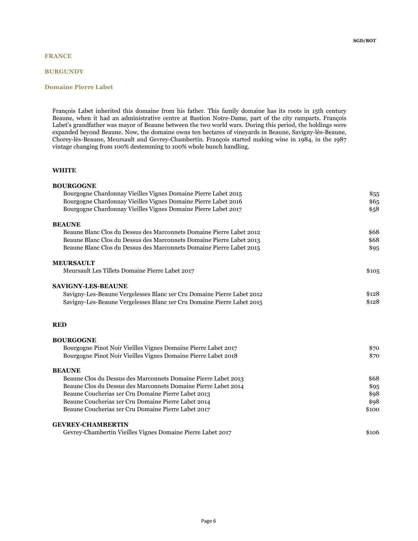## FRANCE

## **BURGUNDY**

## Domaine Pierre Labet

François Labet inherited this domaine from his father. This family domaine has its roots in 15th century Beaune, when it had an administrative centre at Bastion Notre-Dame, part of the city ramparts. François Labet's grandfather was mayor of Beaune between the two world wars. During this period, the holdings were expanded beyond Beaune. Now, the domaine owns ten hectares of vineyards in Beaune, Savigny-lès-Beaune, Chorey-lès-Beaune, Meursault and Gevrey-Chambertin. François started making wine in 1984, in the 1987 vintage changing from 100% destemming to 100% whole bunch handling.

| <b>BOURGOGNE</b>                                                       |       |
|------------------------------------------------------------------------|-------|
| Bourgogne Chardonnay Vieilles Vignes Domaine Pierre Labet 2015         | \$55  |
| Bourgogne Chardonnay Vieilles Vignes Domaine Pierre Labet 2016         | \$65  |
| Bourgogne Chardonnay Vieilles Vignes Domaine Pierre Labet 2017         | \$58  |
| <b>BEAUNE</b>                                                          |       |
| Beaune Blanc Clos du Dessus des Marconnets Domaine Pierre Labet 2012   | \$68  |
| Beaune Blanc Clos du Dessus des Marconnets Domaine Pierre Labet 2013   | \$68  |
| Beaune Blanc Clos du Dessus des Marconnets Domaine Pierre Labet 2015   | \$95  |
| <b>MEURSAULT</b>                                                       |       |
| Meursault Les Tillets Domaine Pierre Labet 2017                        | \$105 |
| <b>SAVIGNY-LES-BEAUNE</b>                                              |       |
| Savigny-Les-Beaune Vergelesses Blanc 1er Cru Domaine Pierre Labet 2012 | \$128 |
| Savigny-Les-Beaune Vergelesses Blanc 1er Cru Domaine Pierre Labet 2015 | \$128 |
| <b>RED</b>                                                             |       |
| <b>BOURGOGNE</b>                                                       |       |
| Bourgogne Pinot Noir Vieilles Vignes Domaine Pierre Labet 2017         | \$70  |
| Bourgogne Pinot Noir Vieilles Vignes Domaine Pierre Labet 2018         | \$70  |
| <b>BEAUNE</b>                                                          |       |
| Beaune Clos du Dessus des Marconnets Domaine Pierre Labet 2013         | \$68  |
| Beaune Clos du Dessus des Marconnets Domaine Pierre Labet 2014         | \$95  |
| Beaune Coucherias 1er Cru Domaine Pierre Labet 2013                    | \$98  |
| Beaune Coucherias 1er Cru Domaine Pierre Labet 2014                    | \$98  |
| Beaune Coucherias 1er Cru Domaine Pierre Labet 2017                    | \$100 |
| <b>GEVREY-CHAMBERTIN</b>                                               |       |
| Gevrey-Chambertin Vieilles Vignes Domaine Pierre Labet 2017            | \$106 |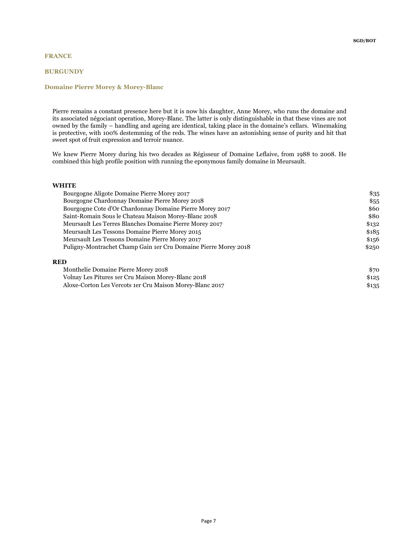## **BURGUNDY**

## Domaine Pierre Morey & Morey-Blanc

Pierre remains a constant presence here but it is now his daughter, Anne Morey, who runs the domaine and its associated négociant operation, Morey-Blanc. The latter is only distinguishable in that these vines are not owned by the family – handling and ageing are identical, taking place in the domaine's cellars. Winemaking is protective, with 100% destemming of the reds. The wines have an astonishing sense of purity and hit that sweet spot of fruit expression and terroir nuance.

We knew Pierre Morey during his two decades as Régisseur of Domaine Leflaive, from 1988 to 2008. He combined this high profile position with running the eponymous family domaine in Meursault.

#### WHITE

| Bourgogne Aligote Domaine Pierre Morey 2017                     | \$35  |
|-----------------------------------------------------------------|-------|
| Bourgogne Chardonnay Domaine Pierre Morey 2018                  | \$55  |
| Bourgogne Cote d'Or Chardonnay Domaine Pierre Morey 2017        | \$60  |
| Saint-Romain Sous le Chateau Maison Morey-Blanc 2018            | \$80  |
| Meursault Les Terres Blanches Domaine Pierre Morey 2017         | \$132 |
| Meursault Les Tessons Domaine Pierre Morey 2015                 | \$185 |
| Meursault Les Tessons Domaine Pierre Morey 2017                 | \$156 |
| Puligny-Montrachet Champ Gain 1er Cru Domaine Pierre Morey 2018 | \$250 |
|                                                                 |       |

## RED

| Monthelie Domaine Pierre Morey 2018                      | \$70  |
|----------------------------------------------------------|-------|
| Volnay Les Pitures 1 er Cru Maison Morey-Blanc 2018      | \$125 |
| Aloxe-Corton Les Vercots 1er Cru Maison Morey-Blanc 2017 | \$135 |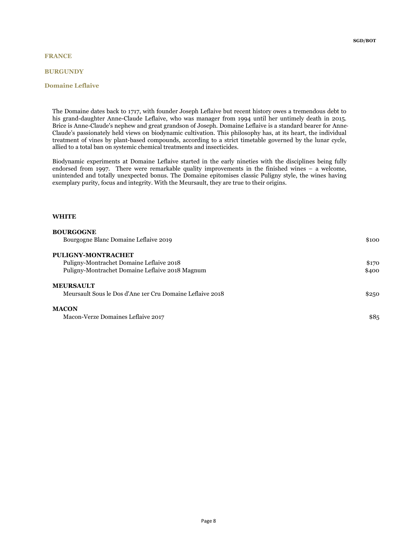## FRANCE

### **BURGUNDY**

### Domaine Leflaive

The Domaine dates back to 1717, with founder Joseph Leflaive but recent history owes a tremendous debt to his grand-daughter Anne-Claude Leflaive, who was manager from 1994 until her untimely death in 2015. Brice is Anne-Claude's nephew and great grandson of Joseph. Domaine Leflaive is a standard bearer for Anne-Claude's passionately held views on biodynamic cultivation. This philosophy has, at its heart, the individual treatment of vines by plant-based compounds, according to a strict timetable governed by the lunar cycle, allied to a total ban on systemic chemical treatments and insecticides.

Biodynamic experiments at Domaine Leflaive started in the early nineties with the disciplines being fully endorsed from 1997. There were remarkable quality improvements in the finished wines – a welcome, unintended and totally unexpected bonus. The Domaine epitomises classic Puligny style, the wines having exemplary purity, focus and integrity. With the Meursault, they are true to their origins.

| <b>BOURGOGNE</b>                                          |       |
|-----------------------------------------------------------|-------|
| Bourgogne Blanc Domaine Leflaive 2019                     | \$100 |
| <b>PULIGNY-MONTRACHET</b>                                 |       |
| Puligny-Montrachet Domaine Leflaive 2018                  | \$170 |
| Puligny-Montrachet Domaine Leflaive 2018 Magnum           | \$400 |
| MEURSAULT                                                 |       |
| Meursault Sous le Dos d'Ane 1er Cru Domaine Leflaive 2018 | \$250 |
| <b>MACON</b>                                              |       |
| Macon-Verze Domaines Leflaive 2017                        | \$85  |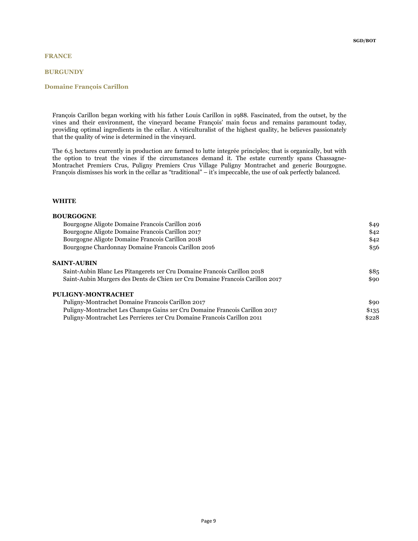## FRANCE

### **BURGUNDY**

### Domaine François Carillon

François Carillon began working with his father Louis Carillon in 1988. Fascinated, from the outset, by the vines and their environment, the vineyard became François' main focus and remains paramount today, providing optimal ingredients in the cellar. A viticulturalist of the highest quality, he believes passionately that the quality of wine is determined in the vineyard.

The 6.5 hectares currently in production are farmed to lutte integrée principles; that is organically, but with the option to treat the vines if the circumstances demand it. The estate currently spans Chassagne-Montrachet Premiers Crus, Puligny Premiers Crus Village Puligny Montrachet and generic Bourgogne. François dismisses his work in the cellar as "traditional" – it's impeccable, the use of oak perfectly balanced.

| <b>BOURGOGNE</b>                                                              |       |
|-------------------------------------------------------------------------------|-------|
| Bourgogne Aligote Domaine Francois Carillon 2016                              | \$49  |
| Bourgogne Aligote Domaine Francois Carillon 2017                              | \$42  |
| Bourgogne Aligote Domaine Francois Carillon 2018                              | \$42  |
| Bourgogne Chardonnay Domaine Francois Carillon 2016                           | \$56  |
| <b>SAINT-AUBIN</b>                                                            |       |
| Saint-Aubin Blanc Les Pitangerets 1er Cru Domaine Francois Carillon 2018      | \$85  |
| Saint-Aubin Murgers des Dents de Chien 1er Cru Domaine Francois Carillon 2017 | \$90  |
| PULIGNY-MONTRACHET                                                            |       |
| Puligny-Montrachet Domaine Francois Carillon 2017                             | \$90  |
| Puligny-Montrachet Les Champs Gains 1er Cru Domaine Francois Carillon 2017    | \$135 |
| Puligny-Montrachet Les Perrieres 1er Cru Domaine Francois Carillon 2011       | \$228 |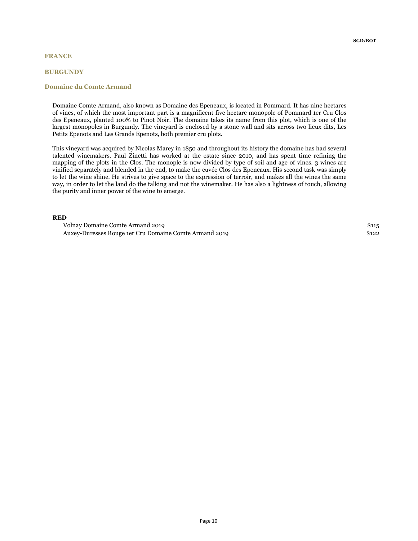### **BURGUNDY**

### Domaine du Comte Armand

Domaine Comte Armand, also known as Domaine des Epeneaux, is located in Pommard. It has nine hectares of vines, of which the most important part is a magnificent five hectare monopole of Pommard 1er Cru Clos des Epeneaux, planted 100% to Pinot Noir. The domaine takes its name from this plot, which is one of the largest monopoles in Burgundy. The vineyard is enclosed by a stone wall and sits across two lieux dits, Les Petits Epenots and Les Grands Epenots, both premier cru plots.

This vineyard was acquired by Nicolas Marey in 1850 and throughout its history the domaine has had several talented winemakers. Paul Zinetti has worked at the estate since 2010, and has spent time refining the mapping of the plots in the Clos. The monople is now divided by type of soil and age of vines. 3 wines are vinified separately and blended in the end, to make the cuvée Clos des Epeneaux. His second task was simply to let the wine shine. He strives to give space to the expression of terroir, and makes all the wines the same way, in order to let the land do the talking and not the winemaker. He has also a lightness of touch, allowing the purity and inner power of the wine to emerge.

### RED

Volnay Domaine Comte Armand 2019 **\$115** Auxey-Duresses Rouge 1er Cru Domaine Comte Armand 2019 \$122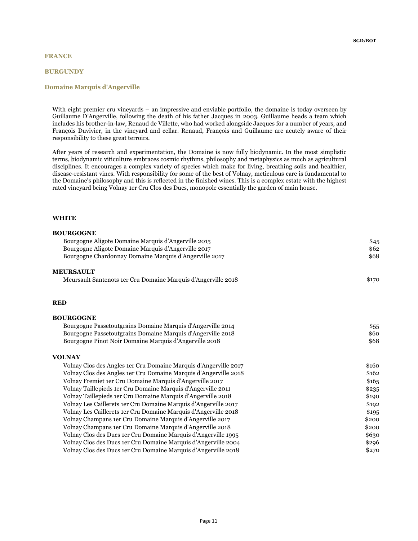## FRANCE

### **BURGUNDY**

## Domaine Marquis d'Angerville

With eight premier cru vineyards – an impressive and enviable portfolio, the domaine is today overseen by Guillaume D'Angerville, following the death of his father Jacques in 2003. Guillaume heads a team which includes his brother-in-law, Renaud de Villette, who had worked alongside Jacques for a number of years, and François Duvivier, in the vineyard and cellar. Renaud, François and Guillaume are acutely aware of their responsibility to these great terroirs.

After years of research and experimentation, the Domaine is now fully biodynamic. In the most simplistic terms, biodynamic viticulture embraces cosmic rhythms, philosophy and metaphysics as much as agricultural disciplines. It encourages a complex variety of species which make for living, breathing soils and healthier, disease-resistant vines. With responsibility for some of the best of Volnay, meticulous care is fundamental to the Domaine's philosophy and this is reflected in the finished wines. This is a complex estate with the highest rated vineyard being Volnay 1er Cru Clos des Ducs, monopole essentially the garden of main house.

| <b>BOURGOGNE</b>                                                 |       |
|------------------------------------------------------------------|-------|
| Bourgogne Aligote Domaine Marquis d'Angerville 2015              | \$45  |
| Bourgogne Aligote Domaine Marquis d'Angerville 2017              | \$62  |
| Bourgogne Chardonnay Domaine Marquis d'Angerville 2017           | \$68  |
| <b>MEURSAULT</b>                                                 |       |
| Meursault Santenots 1er Cru Domaine Marquis d'Angerville 2018    | \$170 |
| <b>RED</b>                                                       |       |
| <b>BOURGOGNE</b>                                                 |       |
| Bourgogne Passetoutgrains Domaine Marquis d'Angerville 2014      | \$55  |
| Bourgogne Passetoutgrains Domaine Marquis d'Angerville 2018      | \$60  |
| Bourgogne Pinot Noir Domaine Marquis d'Angerville 2018           | \$68  |
| <b>VOLNAY</b>                                                    |       |
| Volnay Clos des Angles 1er Cru Domaine Marquis d'Angerville 2017 | \$160 |
| Volnay Clos des Angles 1er Cru Domaine Marquis d'Angerville 2018 | \$162 |
| Volnay Fremiet 1er Cru Domaine Marquis d'Angerville 2017         | \$165 |
| Volnay Taillepieds 1er Cru Domaine Marquis d'Angerville 2011     | \$235 |
| Volnay Taillepieds 1er Cru Domaine Marquis d'Angerville 2018     | \$190 |
| Volnay Les Caillerets 1er Cru Domaine Marquis d'Angerville 2017  | \$192 |
| Volnay Les Caillerets 1er Cru Domaine Marquis d'Angerville 2018  | \$195 |
| Volnay Champans 1er Cru Domaine Marquis d'Angerville 2017        | \$200 |
| Volnay Champans 1er Cru Domaine Marquis d'Angerville 2018        | \$200 |
| Volnay Clos des Ducs 1er Cru Domaine Marquis d'Angerville 1995   | \$630 |
| Volnay Clos des Ducs 1er Cru Domaine Marquis d'Angerville 2004   | \$296 |
| Volnay Clos des Ducs 1er Cru Domaine Marquis d'Angerville 2018   | \$270 |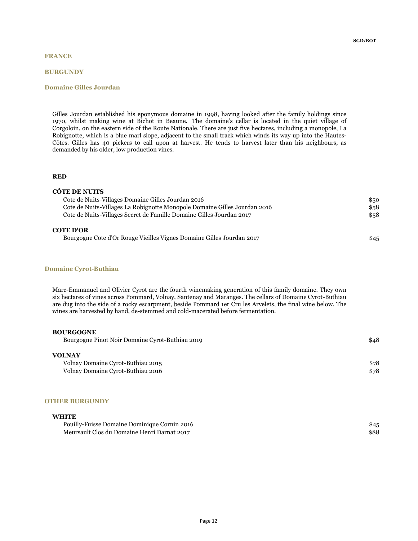### **BURGUNDY**

### Domaine Gilles Jourdan

Gilles Jourdan established his eponymous domaine in 1998, having looked after the family holdings since 1970, whilst making wine at Bichot in Beaune. The domaine's cellar is located in the quiet village of Corgoloin, on the eastern side of the Route Nationale. There are just five hectares, including a monopole, La Robignotte, which is a blue marl slope, adjacent to the small track which winds its way up into the Hautes-Côtes. Gilles has 40 pickers to call upon at harvest. He tends to harvest later than his neighbours, as demanded by his older, low production vines.

## RED

| CÔTE DE NUITS                                                             |      |
|---------------------------------------------------------------------------|------|
| Cote de Nuits-Villages Domaine Gilles Jourdan 2016                        | \$50 |
| Cote de Nuits-Villages La Robignotte Monopole Domaine Gilles Jourdan 2016 | \$58 |
| Cote de Nuits-Villages Secret de Famille Domaine Gilles Jourdan 2017      | \$58 |
| <b>COTE D'OR</b>                                                          |      |
| Bourgogne Cote d'Or Rouge Vieilles Vignes Domaine Gilles Jourdan 2017     | \$45 |

### Domaine Cyrot-Buthiau

Marc-Emmanuel and Olivier Cyrot are the fourth winemaking generation of this family domaine. They own six hectares of vines across Pommard, Volnay, Santenay and Maranges. The cellars of Domaine Cyrot-Buthiau are dug into the side of a rocky escarpment, beside Pommard 1er Cru les Arvelets, the final wine below. The wines are harvested by hand, de-stemmed and cold-macerated before fermentation.

## BOURGOGNE

| Bourgogne Pinot Noir Domaine Cyrot-Buthiau 2019 | \$48 |
|-------------------------------------------------|------|
| <b>VOLNAY</b>                                   |      |
| Volnay Domaine Cyrot-Buthiau 2015               | \$78 |
| Volnay Domaine Cyrot-Buthiau 2016               | \$78 |

#### OTHER BURGUNDY

| Pouilly-Fuisse Domaine Dominique Cornin 2016 | \$45 |
|----------------------------------------------|------|
| Meursault Clos du Domaine Henri Darnat 2017  | \$88 |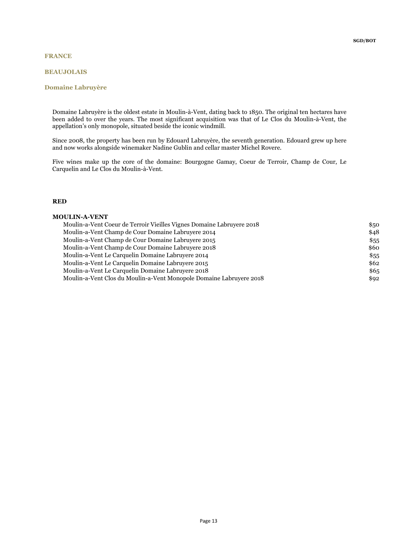### BEAUJOLAIS

## Domaine Labruyère

Domaine Labruyère is the oldest estate in Moulin-à-Vent, dating back to 1850. The original ten hectares have been added to over the years. The most significant acquisition was that of Le Clos du Moulin-à-Vent, the appellation's only monopole, situated beside the iconic windmill.

Since 2008, the property has been run by Edouard Labruyère, the seventh generation. Edouard grew up here and now works alongside winemaker Nadine Gublin and cellar master Michel Rovere.

Five wines make up the core of the domaine: Bourgogne Gamay, Coeur de Terroir, Champ de Cour, Le Carquelin and Le Clos du Moulin-à-Vent.

## RED

### MOULIN-A-VENT

| Moulin-a-Vent Coeur de Terroir Vieilles Vignes Domaine Labruvere 2018 | \$50 |
|-----------------------------------------------------------------------|------|
| Moulin-a-Vent Champ de Cour Domaine Labruvere 2014                    | \$48 |
| Moulin-a-Vent Champ de Cour Domaine Labruyere 2015                    | \$55 |
| Moulin-a-Vent Champ de Cour Domaine Labruyere 2018                    | \$60 |
| Moulin-a-Vent Le Carquelin Domaine Labruyere 2014                     | \$55 |
| Moulin-a-Vent Le Carquelin Domaine Labruyere 2015                     | \$62 |
| Moulin-a-Vent Le Carquelin Domaine Labruyere 2018                     | \$65 |
| Moulin-a-Vent Clos du Moulin-a-Vent Monopole Domaine Labruyere 2018   | \$92 |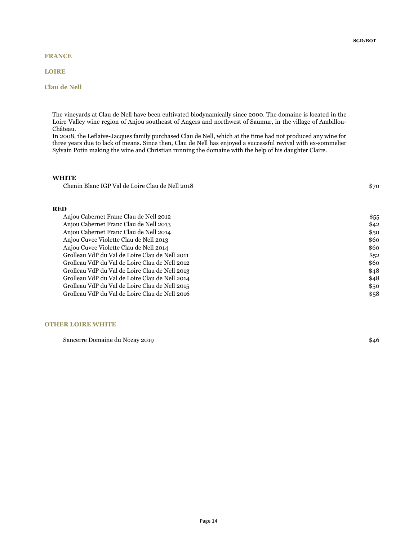## FRANCE

## LOIRE

## Clau de Nell

The vineyards at Clau de Nell have been cultivated biodynamically since 2000. The domaine is located in the Loire Valley wine region of Anjou southeast of Angers and northwest of Saumur, in the village of Ambillou-Château.

In 2008, the Leflaive-Jacques family purchased Clau de Nell, which at the time had not produced any wine for three years due to lack of means. Since then, Clau de Nell has enjoyed a successful revival with ex-sommelier Sylvain Potin making the wine and Christian running the domaine with the help of his daughter Claire.

## WHITE

Chenin Blanc IGP Val de Loire Clau de Nell 2018 \$70

### RED

| Anjou Cabernet Franc Clau de Nell 2012         | \$55 |
|------------------------------------------------|------|
| Anjou Cabernet Franc Clau de Nell 2013         | \$42 |
| Anjou Cabernet Franc Clau de Nell 2014         | \$50 |
| Anjou Cuvee Violette Clau de Nell 2013         | \$60 |
| Anjou Cuvee Violette Clau de Nell 2014         | \$60 |
| Grolleau VdP du Val de Loire Clau de Nell 2011 | \$52 |
| Grolleau VdP du Val de Loire Clau de Nell 2012 | \$60 |
| Grolleau VdP du Val de Loire Clau de Nell 2013 | \$48 |
| Grolleau VdP du Val de Loire Clau de Nell 2014 | \$48 |
| Grolleau VdP du Val de Loire Clau de Nell 2015 | \$50 |
| Grolleau VdP du Val de Loire Clau de Nell 2016 | \$58 |

### OTHER LOIRE WHITE

Sancerre Domaine du Nozay 2019 **\$46**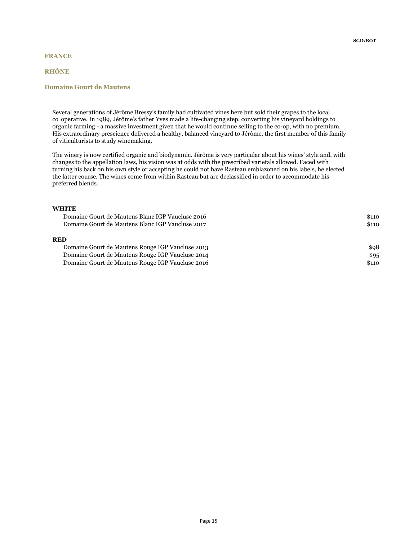## RHÔNE

## Domaine Gourt de Mautens

Several generations of Jérôme Bressy's family had cultivated vines here but sold their grapes to the local co operative. In 1989, Jérôme's father Yves made a life-changing step, converting his vineyard holdings to organic farming - a massive investment given that he would continue selling to the co-op, with no premium. His extraordinary prescience delivered a healthy, balanced vineyard to Jérôme, the first member of this family of viticulturists to study winemaking.

The winery is now certified organic and biodynamic. Jérôme is very particular about his wines' style and, with changes to the appellation laws, his vision was at odds with the prescribed varietals allowed. Faced with turning his back on his own style or accepting he could not have Rasteau emblazoned on his labels, he elected the latter course. The wines come from within Rasteau but are declassified in order to accommodate his preferred blends.

| Domaine Gourt de Mautens Blanc IGP Vaucluse 2016 | \$110 |
|--------------------------------------------------|-------|
| Domaine Gourt de Mautens Blanc IGP Vaucluse 2017 | \$110 |
| <b>RED</b>                                       |       |
| Domaine Gourt de Mautens Rouge IGP Vaucluse 2013 | \$98  |
| Domaine Gourt de Mautens Rouge IGP Vaucluse 2014 | \$95  |
| Domaine Gourt de Mautens Rouge IGP Vaucluse 2016 | \$110 |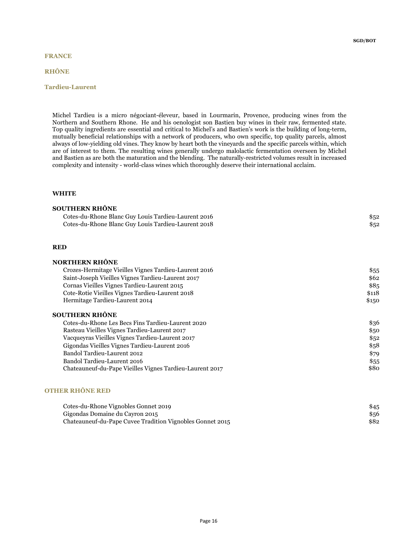## FRANCE

## RHÔNE

## Tardieu-Laurent

Michel Tardieu is a micro négociant-éleveur, based in Lourmarin, Provence, producing wines from the Northern and Southern Rhone. He and his oenologist son Bastien buy wines in their raw, fermented state. Top quality ingredients are essential and critical to Michel's and Bastien's work is the building of long-term, mutually beneficial relationships with a network of producers, who own specific, top quality parcels, almost always of low-yielding old vines. They know by heart both the vineyards and the specific parcels within, which are of interest to them. The resulting wines generally undergo malolactic fermentation overseen by Michel and Bastien as are both the maturation and the blending. The naturally-restricted volumes result in increased complexity and intensity - world-class wines which thoroughly deserve their international acclaim.

## WHITE

| <b>SOUTHERN RHÔNE</b>                               |      |
|-----------------------------------------------------|------|
| Cotes-du-Rhone Blanc Guy Louis Tardieu-Laurent 2016 | \$52 |
| Cotes-du-Rhone Blanc Guy Louis Tardieu-Laurent 2018 | \$52 |
|                                                     |      |
|                                                     |      |
| <b>RED</b>                                          |      |
|                                                     |      |
| NORTHERN RHÔNE                                      |      |

| Crozes-Hermitage Vieilles Vignes Tardieu-Laurent 2016    | \$55  |
|----------------------------------------------------------|-------|
| Saint-Joseph Vieilles Vignes Tardieu-Laurent 2017        | \$62  |
| Cornas Vieilles Vignes Tardieu-Laurent 2015              | \$85  |
| Cote-Rotie Vieilles Vignes Tardieu-Laurent 2018          | \$118 |
| Hermitage Tardieu-Laurent 2014                           | \$150 |
| SOUTHERN RHÔNE                                           |       |
| Cotes-du-Rhone Les Becs Fins Tardieu-Laurent 2020        | \$36  |
| Rasteau Vieilles Vignes Tardieu-Laurent 2017             | \$50  |
| Vacqueyras Vieilles Vignes Tardieu-Laurent 2017          | \$52  |
| Gigondas Vieilles Vignes Tardieu-Laurent 2016            | \$58  |
| Bandol Tardieu-Laurent 2012                              | \$79  |
| Bandol Tardieu-Laurent 2016                              | \$55  |
| Chateauneuf-du-Pape Vieilles Vignes Tardieu-Laurent 2017 | \$80  |
|                                                          |       |

## OTHER RHÔNE RED

| Cotes-du-Rhone Vignobles Gonnet 2019                      | \$45 |
|-----------------------------------------------------------|------|
| Gigondas Domaine du Cayron 2015                           | \$56 |
| Chateauneuf-du-Pape Cuvee Tradition Vignobles Gonnet 2015 | \$82 |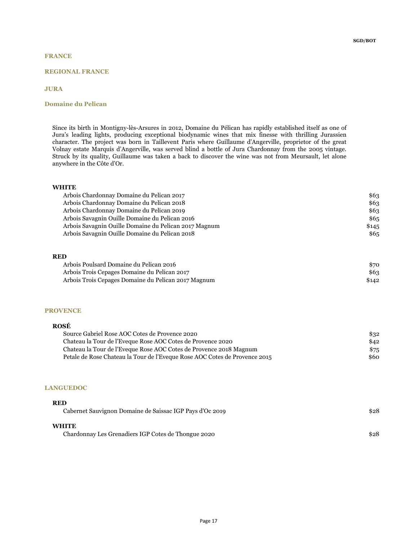## REGIONAL FRANCE

### JURA

## Domaine du Pelican

Since its birth in Montigny-lès-Arsures in 2012, Domaine du Pélican has rapidly established itself as one of Jura's leading lights, producing exceptional biodynamic wines that mix finesse with thrilling Jurassien character. The project was born in Taillevent Paris where Guillaume d'Angerville, proprietor of the great Volnay estate Marquis d'Angerville, was served blind a bottle of Jura Chardonnay from the 2005 vintage. Struck by its quality, Guillaume was taken a back to discover the wine was not from Meursault, let alone anywhere in the Côte d'Or.

## **WHITE**

| Arbois Chardonnay Domaine du Pelican 2017             | \$63  |
|-------------------------------------------------------|-------|
| Arbois Chardonnay Domaine du Pelican 2018             | \$63  |
| Arbois Chardonnay Domaine du Pelican 2019             | \$63  |
| Arbois Savagnin Ouille Domaine du Pelican 2016        | \$65  |
| Arbois Savagnin Ouille Domaine du Pelican 2017 Magnum | \$145 |
| Arbois Savagnin Ouille Domaine du Pelican 2018        | \$65  |

### RED

| Arbois Poulsard Domaine du Pelican 2016             | \$70  |
|-----------------------------------------------------|-------|
| Arbois Trois Cepages Domaine du Pelican 2017        | \$63  |
| Arbois Trois Cepages Domaine du Pelican 2017 Magnum | \$142 |

#### **PROVENCE**

### ROSÉ

| Source Gabriel Rose AOC Cotes de Provence 2020                             | \$32 |
|----------------------------------------------------------------------------|------|
| Chateau la Tour de l'Eveque Rose AOC Cotes de Provence 2020                | \$42 |
| Chateau la Tour de l'Eveque Rose AOC Cotes de Provence 2018 Magnum         | \$75 |
| Petale de Rose Chateau la Tour de l'Eveque Rose AOC Cotes de Provence 2015 | \$60 |

#### LANGUEDOC

RED

| -KED<br>Cabernet Sauvignon Domaine de Saissac IGP Pays d'Oc 2019    | \$28 |
|---------------------------------------------------------------------|------|
| <b>WHITE</b><br>Chardonnay Les Grenadiers IGP Cotes de Thongue 2020 | \$28 |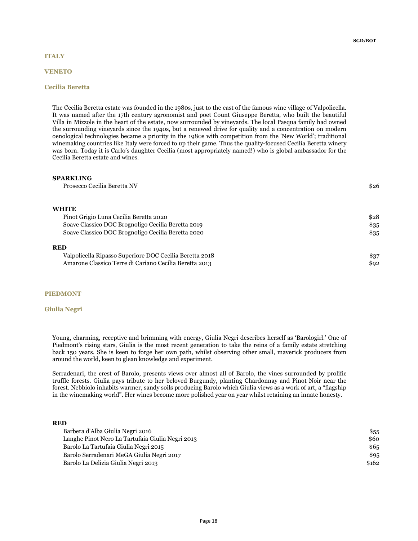## **ITALY**

#### VENETO

## Cecilia Beretta

The Cecilia Beretta estate was founded in the 1980s, just to the east of the famous wine village of Valpolicella. It was named after the 17th century agronomist and poet Count Giuseppe Beretta, who built the beautiful Villa in Mizzole in the heart of the estate, now surrounded by vineyards. The local Pasqua family had owned the surrounding vineyards since the 1940s, but a renewed drive for quality and a concentration on modern oenological technologies became a priority in the 1980s with competition from the 'New World'; traditional winemaking countries like Italy were forced to up their game. Thus the quality-focused Cecilia Beretta winery was born. Today it is Carlo's daughter Cecilia (most appropriately named!) who is global ambassador for the Cecilia Beretta estate and wines.

#### SPARKLING

Prosecco Cecilia Beretta NV  $$26$ 

#### **WHITE**

| Pinot Grigio Luna Cecilia Beretta 2020                  | \$28 |
|---------------------------------------------------------|------|
| Soave Classico DOC Brognoligo Cecilia Beretta 2019      | \$35 |
| Soave Classico DOC Brognoligo Cecilia Beretta 2020      | \$35 |
| <b>RED</b>                                              |      |
| Valpolicella Ripasso Superiore DOC Cecilia Beretta 2018 | \$37 |
| Amarone Classico Terre di Cariano Cecilia Beretta 2013  | \$92 |

### PIEDMONT

#### Giulia Negri

Young, charming, receptive and brimming with energy, Giulia Negri describes herself as 'Barologirl.' One of Piedmont's rising stars, Giulia is the most recent generation to take the reins of a family estate stretching back 150 years. She is keen to forge her own path, whilst observing other small, maverick producers from around the world, keen to glean knowledge and experiment.

Serradenari, the crest of Barolo, presents views over almost all of Barolo, the vines surrounded by prolific truffle forests. Giulia pays tribute to her beloved Burgundy, planting Chardonnay and Pinot Noir near the forest. Nebbiolo inhabits warmer, sandy soils producing Barolo which Giulia views as a work of art, a "flagship in the winemaking world". Her wines become more polished year on year whilst retaining an innate honesty.

### RED

| Barbera d'Alba Giulia Negri 2016                 | \$55  |
|--------------------------------------------------|-------|
| Langhe Pinot Nero La Tartufaia Giulia Negri 2013 | \$60  |
| Barolo La Tartufaia Giulia Negri 2015            | \$65  |
| Barolo Serradenari MeGA Giulia Negri 2017        | \$95  |
| Barolo La Delizia Giulia Negri 2013              | \$162 |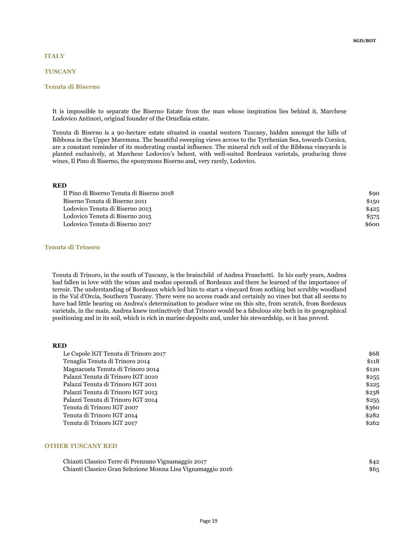## **ITALY**

## **TUSCANY**

### Tenuta di Biserno

It is impossible to separate the Biserno Estate from the man whose inspiration lies behind it, Marchese Lodovico Antinori, original founder of the Ornellaia estate.

Tenuta di Biserno is a 90-hectare estate situated in coastal western Tuscany, hidden amongst the hills of Bibbona in the Upper Maremma. The beautiful sweeping views across to the Tyrrhenian Sea, towards Corsica, are a constant reminder of its moderating coastal influence. The mineral rich soil of the Bibbona vineyards is planted exclusively, at Marchese Lodovico's behest, with well-suited Bordeaux varietals, producing three wines, Il Pino di Biserno, the eponymous Biserno and, very rarely, Lodovico.

### RED

| Il Pino di Biserno Tenuta di Biserno 2018 | \$90  |
|-------------------------------------------|-------|
| Biserno Tenuta di Biserno 2011            | \$150 |
| Lodovico Tenuta di Biserno 2013           | \$425 |
| Lodovico Tenuta di Biserno 2015           | \$575 |
| Lodovico Tenuta di Biserno 2017           | \$600 |

## Tenuta di Trinoro

Tenuta di Trinoro, in the south of Tuscany, is the brainchild of Andrea Franchetti. In his early years, Andrea had fallen in love with the wines and modus operandi of Bordeaux and there he learned of the importance of terroir. The understanding of Bordeaux which led him to start a vineyard from nothing but scrubby woodland in the Val d'Orcia, Southern Tuscany. There were no access roads and certainly no vines but that all seems to have had little bearing on Andrea's determination to produce wine on this site, from scratch, from Bordeaux varietals, in the main. Andrea knew instinctively that Trinoro would be a fabulous site both in its geographical positioning and in its soil, which is rich in marine deposits and, under his stewardship, so it has proved.

#### RED

| Le Cupole IGT Tenuta di Trinoro 2017 | \$68  |
|--------------------------------------|-------|
| Tenaglia Tenuta di Trinoro 2014      | \$118 |
| Magnacosta Tenuta di Trinoro 2014    | \$120 |
| Palazzi Tenuta di Trinoro IGT 2010   | \$255 |
| Palazzi Tenuta di Trinoro IGT 2011   | \$225 |
| Palazzi Tenuta di Trinoro IGT 2013   | \$238 |
| Palazzi Tenuta di Trinoro IGT 2014   | \$255 |
| Tenuta di Trinoro IGT 2007           | \$360 |
| Tenuta di Trinoro IGT 2014           | \$282 |
| Tenuta di Trinoro IGT 2017           | \$262 |

### OTHER TUSCANY RED

| Chianti Classico Terre di Prenzano Vignamaggio 2017         | \$42 |
|-------------------------------------------------------------|------|
| Chianti Classico Gran Selezione Monna Lisa Vignamaggio 2016 | \$65 |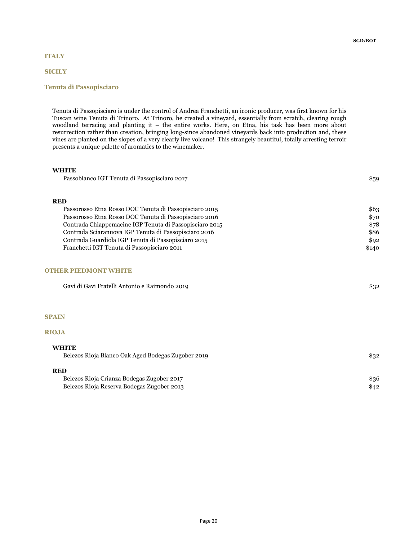## **ITALY**

## **SICILY**

## Tenuta di Passopisciaro

Tenuta di Passopisciaro is under the control of Andrea Franchetti, an iconic producer, was first known for his Tuscan wine Tenuta di Trinoro. At Trinoro, he created a vineyard, essentially from scratch, clearing rough woodland terracing and planting it – the entire works. Here, on Etna, his task has been more about resurrection rather than creation, bringing long-since abandoned vineyards back into production and, these vines are planted on the slopes of a very clearly live volcano! This strangely beautiful, totally arresting terroir presents a unique palette of aromatics to the winemaker.

## **WHITE**

| <b>RED</b>                                              |       |
|---------------------------------------------------------|-------|
| Passorosso Etna Rosso DOC Tenuta di Passopisciaro 2015  | \$63  |
| Passorosso Etna Rosso DOC Tenuta di Passopisciaro 2016  | \$70  |
| Contrada Chiappemacine IGP Tenuta di Passopisciaro 2015 | \$78  |
| Contrada Sciaranuova IGP Tenuta di Passopisciaro 2016   | \$86  |
| Contrada Guardiola IGP Tenuta di Passopisciaro 2015     | \$92  |
| Franchetti IGT Tenuta di Passopisciaro 2011             | \$140 |
| <b>OTHER PIEDMONT WHITE</b>                             |       |
| Gavi di Gavi Fratelli Antonio e Raimondo 2019           | \$32  |
|                                                         |       |
| <b>SPAIN</b>                                            |       |
| <b>RIOJA</b>                                            |       |
| <b>WHITE</b>                                            |       |
| Belezos Rioja Blanco Oak Aged Bodegas Zugober 2019      | \$32  |
| <b>RED</b>                                              |       |
| Belezos Rioja Crianza Bodegas Zugober 2017              | \$36  |
| Belezos Rioja Reserva Bodegas Zugober 2013              | \$42  |

Passobianco IGT Tenuta di Passopisciaro 2017  $$59$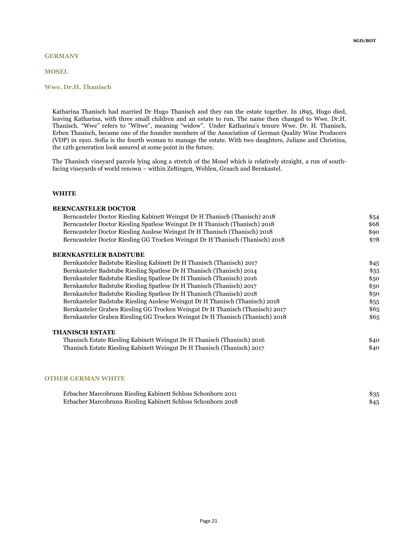## **GERMANY**

MOSEL

### Wwe. Dr.H. Thanisch

Katharina Thanisch had married Dr Hugo Thanisch and they ran the estate together. In 1895, Hugo died, leaving Katharina, with three small children and an estate to run. The name then changed to Wwe. Dr.H. Thanisch. "Wwe" refers to "Witwe", meaning "widow". Under Katharina's tenure Wwe. Dr. H. Thanisch, Erben Thanisch, became one of the founder members of the Association of German Quality Wine Producers (VDP) in 1910. Sofia is the fourth woman to manage the estate. With two daughters, Juliane and Christina, the 12th generation look assured at some point in the future.

The Thanisch vineyard parcels lying along a stretch of the Mosel which is relatively straight, a run of southfacing vineyards of world renown – within Zeltingen, Wehlen, Graach and Bernkastel.

### WHITE

## BERNCASTELER DOCTOR Berncasteler Doctor Riesling Kabinett Weingut Dr H Thanisch (Thanisch) 2018 \$54 Berncasteler Doctor Riesling Spatlese Weingut Dr H Thanisch (Thanisch) 2018 \$68 Berncasteler Doctor Riesling Auslese Weingut Dr H Thanisch (Thanisch) 2018 \$90 Berncasteler Doctor Riesling GG Trocken Weingut Dr H Thanisch (Thanisch) 2018 \$78 BERNKASTELER BADSTUBE Bernkasteler Badstube Riesling Kabinett Dr H Thanisch (Thanisch) 2017 \$45 Bernkasteler Badstube Riesling Spatlese Dr H Thanisch (Thanisch) 2014 \$55 Bernkasteler Badstube Riesling Spatlese Dr H Thanisch (Thanisch) 2016 \$50 Bernkasteler Badstube Riesling Spatlese Dr H Thanisch (Thanisch) 2017 \$50 Bernkasteler Badstube Riesling Spatlese Dr H Thanisch (Thanisch) 2018 \$50 Bernkasteler Badstube Riesling Auslese Weingut Dr H Thanisch (Thanisch) 2018 \$55 Bernkasteler Graben Riesling GG Trocken Weingut Dr H Thanisch (Thanisch) 2017 \$65 Bernkasteler Graben Riesling GG Trocken Weingut Dr H Thanisch (Thanisch) 2018 \$65 THANISCH ESTATE Thanisch Estate Riesling Kabinett Weingut Dr H Thanisch (Thanisch) 2016 \$40 Thanisch Estate Riesling Kabinett Weingut Dr H Thanisch (Thanisch) 2017 \$40

### OTHER GERMAN WHITE

| Erbacher Marcobrunn Riesling Kabinett Schloss Schonborn 2011 | \$35 |
|--------------------------------------------------------------|------|
| Erbacher Marcobrunn Riesling Kabinett Schloss Schonborn 2018 | \$45 |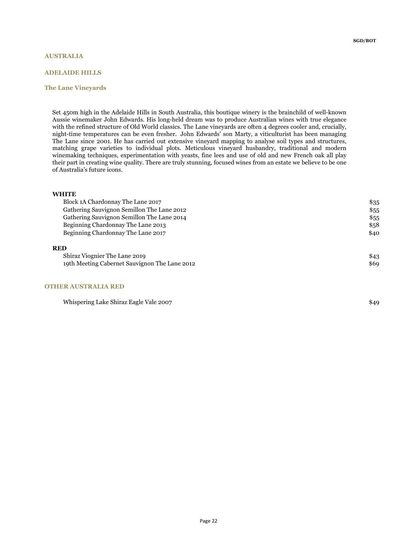### AUSTRALIA

## ADELAIDE HILLS

### The Lane Vineyards

Set 450m high in the Adelaide Hills in South Australia, this boutique winery is the brainchild of well-known Aussie winemaker John Edwards. His long-held dream was to produce Australian wines with true elegance with the refined structure of Old World classics. The Lane vineyards are often 4 degrees cooler and, crucially, night-time temperatures can be even fresher. John Edwards' son Marty, a viticulturist has been managing The Lane since 2001. He has carried out extensive vineyard mapping to analyse soil types and structures, matching grape varieties to individual plots. Meticulous vineyard husbandry, traditional and modern winemaking techniques, experimentation with yeasts, fine lees and use of old and new French oak all play their part in creating wine quality. There are truly stunning, focused wines from an estate we believe to be one of Australia's future icons.

| Block 1A Chardonnay The Lane 2017             | \$35 |
|-----------------------------------------------|------|
| Gathering Sauvignon Semillon The Lane 2012    | \$55 |
| Gathering Sauvignon Semillon The Lane 2014    | \$55 |
| Beginning Chardonnay The Lane 2013            | \$58 |
| Beginning Chardonnay The Lane 2017            | \$40 |
| <b>RED</b>                                    |      |
| Shiraz Viognier The Lane 2019                 | \$43 |
| 19th Meeting Cabernet Sauvignon The Lane 2012 | \$69 |

#### OTHER AUSTRALIA RED

Whispering Lake Shiraz Eagle Vale 2007 \$49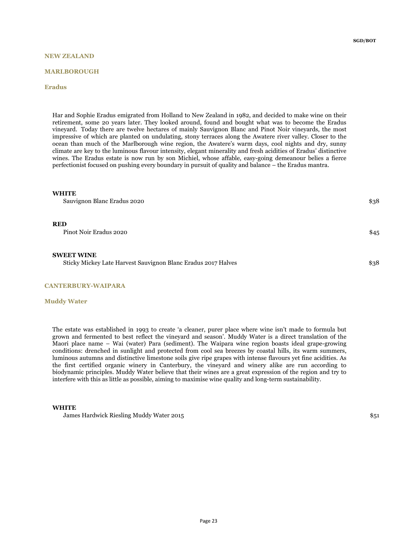## NEW ZEALAND

#### MARLBOROUGH

### Eradus

Har and Sophie Eradus emigrated from Holland to New Zealand in 1982, and decided to make wine on their retirement, some 20 years later. They looked around, found and bought what was to become the Eradus vineyard. Today there are twelve hectares of mainly Sauvignon Blanc and Pinot Noir vineyards, the most impressive of which are planted on undulating, stony terraces along the Awatere river valley. Closer to the ocean than much of the Marlborough wine region, the Awatere's warm days, cool nights and dry, sunny climate are key to the luminous flavour intensity, elegant minerality and fresh acidities of Eradus' distinctive wines. The Eradus estate is now run by son Michiel, whose affable, easy-going demeanour belies a fierce perfectionist focused on pushing every boundary in pursuit of quality and balance – the Eradus mantra.

#### **WHITE**

Sauvignon Blanc Eradus 2020 **\$38**  $\frac{1}{3}$ 

#### RED

Pinot Noir Eradus 2020 \$45

#### SWEET WINE

Sticky Mickey Late Harvest Sauvignon Blanc Eradus 2017 Halves \$38

#### CANTERBURY-WAIPARA

#### Muddy Water

The estate was established in 1993 to create 'a cleaner, purer place where wine isn't made to formula but grown and fermented to best reflect the vineyard and season'. Muddy Water is a direct translation of the Maori place name – Wai (water) Para (sediment). The Waipara wine region boasts ideal grape-growing conditions: drenched in sunlight and protected from cool sea breezes by coastal hills, its warm summers, luminous autumns and distinctive limestone soils give ripe grapes with intense flavours yet fine acidities. As the first certified organic winery in Canterbury, the vineyard and winery alike are run according to biodynamic principles. Muddy Water believe that their wines are a great expression of the region and try to interfere with this as little as possible, aiming to maximise wine quality and long-term sustainability.

#### **WHITE**

James Hardwick Riesling Muddy Water 2015 \$51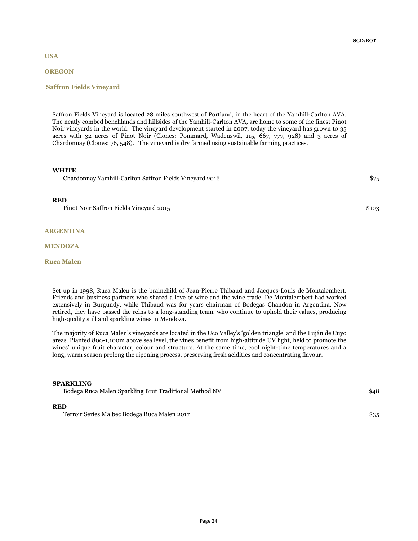USA

## **OREGON**

### Saffron Fields Vineyard

Saffron Fields Vineyard is located 28 miles southwest of Portland, in the heart of the Yamhill-Carlton AVA. The neatly combed benchlands and hillsides of the Yamhill-Carlton AVA, are home to some of the finest Pinot Noir vineyards in the world. The vineyard development started in 2007, today the vineyard has grown to 35 acres with 32 acres of Pinot Noir (Clones: Pommard, Wadenswil, 115, 667, 777, 928) and 3 acres of Chardonnay (Clones: 76, 548). The vineyard is dry farmed using sustainable farming practices.

### **WHITE**

Chardonnay Yamhill-Carlton Saffron Fields Vineyard 2016 \$75

#### RED

Pinot Noir Saffron Fields Vineyard 2015 \$103

#### ARGENTINA

#### MENDOZA

## Ruca Malen

Set up in 1998, Ruca Malen is the brainchild of Jean-Pierre Thibaud and Jacques-Louis de Montalembert. Friends and business partners who shared a love of wine and the wine trade, De Montalembert had worked extensively in Burgundy, while Thibaud was for years chairman of Bodegas Chandon in Argentina. Now retired, they have passed the reins to a long-standing team, who continue to uphold their values, producing high-quality still and sparkling wines in Mendoza.

The majority of Ruca Malen's vineyards are located in the Uco Valley's 'golden triangle' and the Luján de Cuyo areas. Planted 800-1,100m above sea level, the vines benefit from high-altitude UV light, held to promote the wines' unique fruit character, colour and structure. At the same time, cool night-time temperatures and a long, warm season prolong the ripening process, preserving fresh acidities and concentrating flavour.

#### SPARKLING

Bodega Ruca Malen Sparkling Brut Traditional Method NV 648

## RED

Terroir Series Malbec Bodega Ruca Malen 2017 \$35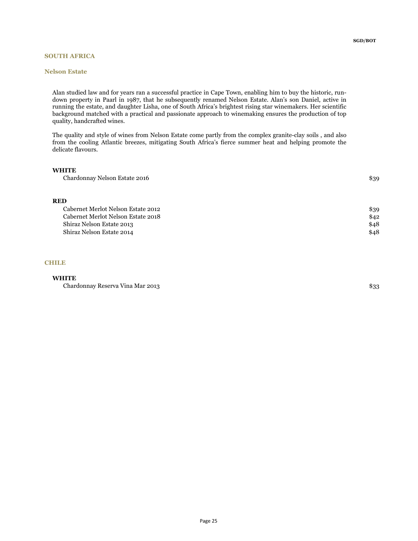## SOUTH AFRICA

### Nelson Estate

SGD/BOT

Alan studied law and for years ran a successful practice in Cape Town, enabling him to buy the historic, rundown property in Paarl in 1987, that he subsequently renamed Nelson Estate. Alan's son Daniel, active in running the estate, and daughter Lisha, one of South Africa's brightest rising star winemakers. Her scientific background matched with a practical and passionate approach to winemaking ensures the production of top quality, handcrafted wines.

The quality and style of wines from Nelson Estate come partly from the complex granite-clay soils , and also from the cooling Atlantic breezes, mitigating South Africa's fierce summer heat and helping promote the delicate flavours.

## **WHITE**

| Chardonnay Nelson Estate 2016 | \$39 |
|-------------------------------|------|
|-------------------------------|------|

## RED

| Cabernet Merlot Nelson Estate 2012 | \$39 |
|------------------------------------|------|
| Cabernet Merlot Nelson Estate 2018 | \$42 |
| Shiraz Nelson Estate 2013          | \$48 |
| Shiraz Nelson Estate 2014          | \$48 |

## **CHILE**

## **WHITE**

Chardonnay Reserva Vina Mar 2013 **\$33**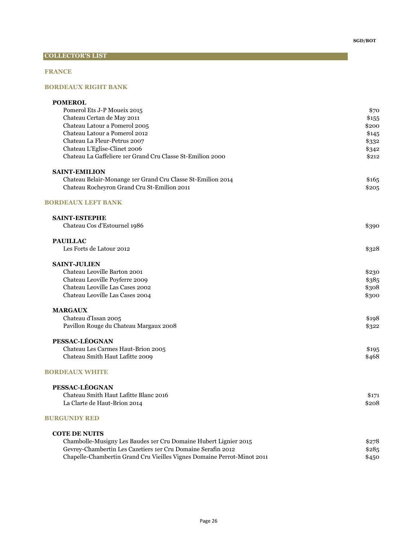# COLLECTOR'S LIST

## FRANCE

## BORDEAUX RIGHT BANK

| <b>POMEROL</b>                                                          |       |
|-------------------------------------------------------------------------|-------|
| Pomerol Ets J-P Moueix 2015                                             | \$70  |
| Chateau Certan de May 2011                                              | \$155 |
| Chateau Latour a Pomerol 2005                                           | \$200 |
| Chateau Latour a Pomerol 2012                                           | \$145 |
| Chateau La Fleur-Petrus 2007                                            | \$332 |
| Chateau L'Eglise-Clinet 2006                                            | \$342 |
| Chateau La Gaffeliere 1er Grand Cru Classe St-Emilion 2000              | \$212 |
| <b>SAINT-EMILION</b>                                                    |       |
| Chateau Belair-Monange 1er Grand Cru Classe St-Emilion 2014             | \$165 |
| Chateau Rocheyron Grand Cru St-Emilion 2011                             | \$205 |
| <b>BORDEAUX LEFT BANK</b>                                               |       |
| <b>SAINT-ESTEPHE</b>                                                    |       |
| Chateau Cos d'Estournel 1986                                            | \$390 |
| <b>PAUILLAC</b>                                                         |       |
| Les Forts de Latour 2012                                                | \$328 |
| <b>SAINT-JULIEN</b>                                                     |       |
| Chateau Leoville Barton 2001                                            | \$230 |
| Chateau Leoville Poyferre 2009                                          | \$385 |
| Chateau Leoville Las Cases 2002                                         | \$308 |
| Chateau Leoville Las Cases 2004                                         | \$300 |
| <b>MARGAUX</b>                                                          |       |
| Chateau d'Issan 2005                                                    | \$198 |
| Pavillon Rouge du Chateau Margaux 2008                                  | \$322 |
| PESSAC-LÉOGNAN                                                          |       |
| Chateau Les Carmes Haut-Brion 2005                                      | \$195 |
| Chateau Smith Haut Lafitte 2009                                         | \$468 |
| <b>BORDEAUX WHITE</b>                                                   |       |
| PESSAC-LÉOGNAN                                                          |       |
| Chateau Smith Haut Lafitte Blanc 2016                                   | \$171 |
| La Clarte de Haut-Brion 2014                                            | \$208 |
| <b>BURGUNDY RED</b>                                                     |       |
| <b>COTE DE NUITS</b>                                                    |       |
| Chambolle-Musigny Les Baudes 1er Cru Domaine Hubert Lignier 2015        | \$278 |
| Gevrey-Chambertin Les Cazetiers 1er Cru Domaine Serafin 2012            | \$285 |
| Chapelle-Chambertin Grand Cru Vieilles Vignes Domaine Perrot-Minot 2011 | \$450 |